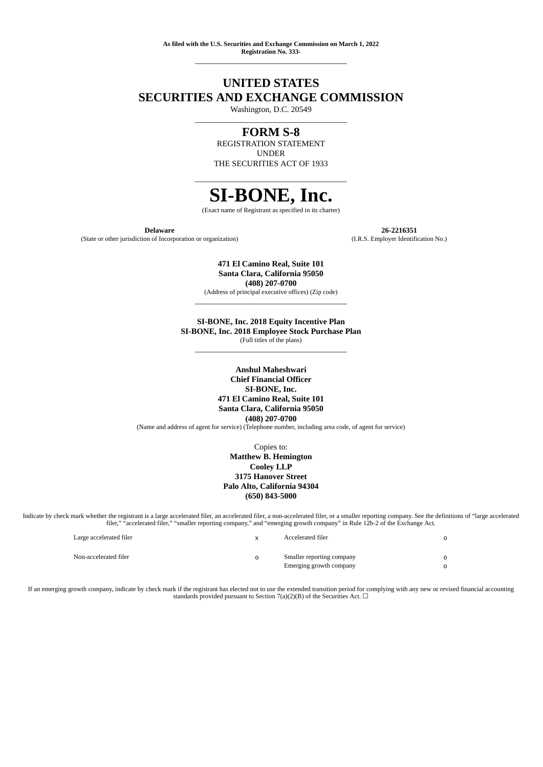**As filed with the U.S. Securities and Exchange Commission on March 1, 2022 Registration No. 333-** \_\_\_\_\_\_\_\_\_\_\_\_\_\_\_\_\_\_\_\_\_\_\_\_\_\_\_\_\_\_\_\_\_\_\_\_\_

# **UNITED STATES SECURITIES AND EXCHANGE COMMISSION**

Washington, D.C. 20549 \_\_\_\_\_\_\_\_\_\_\_\_\_\_\_\_\_\_\_\_\_\_\_\_\_\_\_\_\_\_\_\_\_\_\_\_\_

# **FORM S-8**

REGISTRATION STATEMENT UNDER THE SECURITIES ACT OF 1933

# \_\_\_\_\_\_\_\_\_\_\_\_\_\_\_\_\_\_\_\_\_\_\_\_\_\_\_\_\_\_\_\_\_\_\_\_\_ **SI-BONE, Inc.**

(Exact name of Registrant as specified in its charter)

**Delaware 26-2216351** (State or other jurisdiction of Incorporation or organization) (I.R.S. Employer Identification No.)

> **471 El Camino Real, Suite 101 Santa Clara, California 95050 (408) 207-0700**

(Address of principal executive offices) (Zip code) \_\_\_\_\_\_\_\_\_\_\_\_\_\_\_\_\_\_\_\_\_\_\_\_\_\_\_\_\_\_\_\_\_\_\_\_\_

**SI-BONE, Inc. 2018 Equity Incentive Plan SI-BONE, Inc. 2018 Employee Stock Purchase Plan** (Full titles of the plans)

\_\_\_\_\_\_\_\_\_\_\_\_\_\_\_\_\_\_\_\_\_\_\_\_\_\_\_\_\_\_\_\_\_\_\_\_\_

**Anshul Maheshwari Chief Financial Officer SI-BONE, Inc. 471 El Camino Real, Suite 101 Santa Clara, California 95050 (408) 207-0700** (Name and address of agent for service) (Telephone number, including area code, of agent for service)

> Copies to: **Matthew B. Hemington Cooley LLP 3175 Hanover Street Palo Alto, California 94304 (650) 843-5000**

Indicate by check mark whether the registrant is a large accelerated filer, an accelerated filer, a non-accelerated filer, or a smaller reporting company. See the definitions of "large accelerated filer," "accelerated filer," "smaller reporting company," and "emerging growth company" in Rule 12b-2 of the Exchange Act.

| Large accelerated filer | Accelerated filer         |  |
|-------------------------|---------------------------|--|
| Non-accelerated filer   | Smaller reporting company |  |
|                         | Emerging growth company   |  |

If an emerging growth company, indicate by check mark if the registrant has elected not to use the extended transition period for complying with any new or revised financial accounting standards provided pursuant to Section  $7(a)(2)(B)$  of the Securities Act.  $\Box$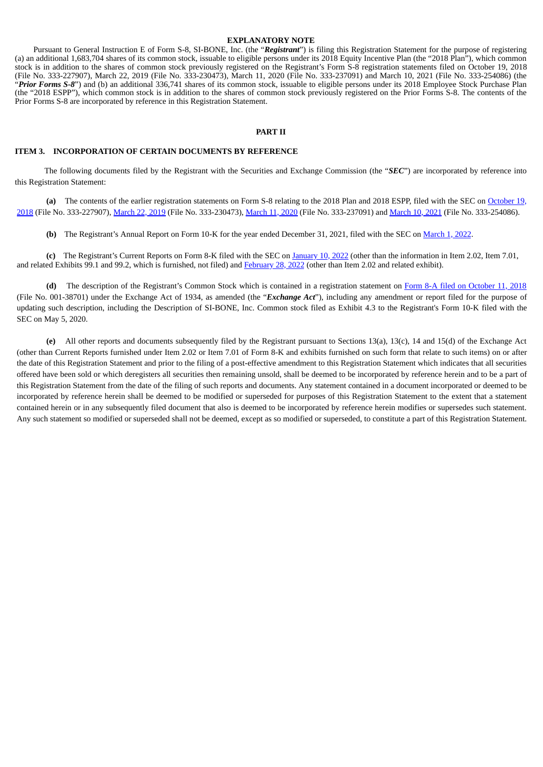#### **EXPLANATORY NOTE**

Pursuant to General Instruction E of Form S-8, SI-BONE, Inc. (the "*Registrant*") is filing this Registration Statement for the purpose of registering (a) an additional 1,683,704 shares of its common stock, issuable to eligible persons under its 2018 Equity Incentive Plan (the "2018 Plan"), which common stock is in addition to the shares of common stock previously registered on the Registrant's Form S-8 registration statements filed on October 19, 2018 (File No. 333-227907), March 22, 2019 (File No. 333-230473), March 11, 2020 (File No. 333-237091) and March 10, 2021 (File No. 333-254086) (the "*Prior Forms S-8*") and (b) an additional 336,741 shares of its common stock, issuable to eligible persons under its 2018 Employee Stock Purchase Plan (the "2018 ESPP"), which common stock is in addition to the shares of common stock previously registered on the Prior Forms S-8. The contents of the Prior Forms S-8 are incorporated by reference in this Registration Statement.

#### **PART II**

## **ITEM 3. INCORPORATION OF CERTAIN DOCUMENTS BY REFERENCE**

The following documents filed by the Registrant with the Securities and Exchange Commission (the "*SEC*") are incorporated by reference into this Registration Statement:

**(a)** The contents of the earlier registration statements on Form S-8 relating to the 2018 Plan and 2018 ESPP, filed with the SEC on October 19, 2018 (File No. 333-227907), [March](http://www.sec.gov/Archives/edgar/data/1459839/000145983919000015/s-8evergreen2019.htm) 22, 2019 (File No. 333-230473), [March](http://www.sec.gov/Archives/edgar/data/1459839/000145983920000032/s-8evergreen2020.htm) 11, 2020 (File No. 333-237091) and [March](https://www.sec.gov/Archives/edgar/data/1459839/000145983921000015/s-8evergreenjanuary2021.htm) 10, 2021 (File No. [333-254086\).](http://www.sec.gov/Archives/edgar/data/1459839/000119312518303158/d635537ds8.htm)

**(b)** The Registrant's Annual Report on Form 10-K for the year ended December 31, 2021, filed with the SEC on [March](https://www.sec.gov/ix?doc=/Archives/edgar/data/0001459839/000145983922000016/sibn-20211231.htm) 1, 2022.

**(c)** The Registrant's Current Reports on Form 8-K filed with the SEC on [January](https://www.sec.gov/ix?doc=/Archives/edgar/data/1459839/000145983922000006/sibn-20220106.htm) 10, 2022 (other than the information in Item 2.02, Item 7.01, and related Exhibits 99.1 and 99.2, which is furnished, not filed) and [February](https://www.sec.gov/ix?doc=/Archives/edgar/data/1459839/000145983922000012/sibn-20220228.htm) 28, 2022 (other than Item 2.02 and related exhibit).

**(d)** The description of the Registrant's Common Stock which is contained in a registration statement on Form 8-A filed on [October](http://www.sec.gov/Archives/edgar/data/1459839/000119312518297571/d486750d8a12b.htm) 11, 2018 (File No. 001-38701) under the Exchange Act of 1934, as amended (the "*Exchange Act*"), including any amendment or report filed for the purpose of updating such description, including the Description of SI-BONE, Inc. Common stock filed as Exhibit 4.3 to the Registrant's Form 10-K filed with the SEC on May 5, 2020.

**(e)** All other reports and documents subsequently filed by the Registrant pursuant to Sections 13(a), 13(c), 14 and 15(d) of the Exchange Act (other than Current Reports furnished under Item 2.02 or Item 7.01 of Form 8-K and exhibits furnished on such form that relate to such items) on or after the date of this Registration Statement and prior to the filing of a post-effective amendment to this Registration Statement which indicates that all securities offered have been sold or which deregisters all securities then remaining unsold, shall be deemed to be incorporated by reference herein and to be a part of this Registration Statement from the date of the filing of such reports and documents. Any statement contained in a document incorporated or deemed to be incorporated by reference herein shall be deemed to be modified or superseded for purposes of this Registration Statement to the extent that a statement contained herein or in any subsequently filed document that also is deemed to be incorporated by reference herein modifies or supersedes such statement. Any such statement so modified or superseded shall not be deemed, except as so modified or superseded, to constitute a part of this Registration Statement.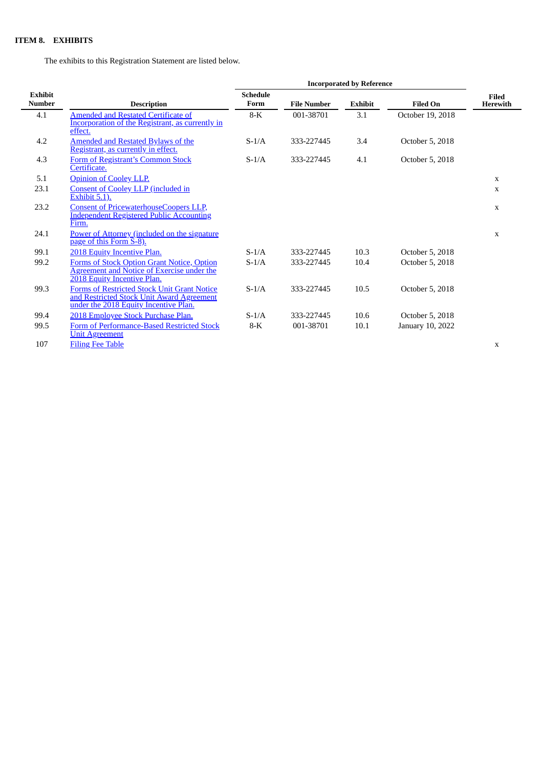# **ITEM 8. EXHIBITS**

The exhibits to this Registration Statement are listed below.

<span id="page-2-0"></span>

|                          |                                                                                                                                          | <b>Incorporated by Reference</b> |                    |                |                  |                                 |
|--------------------------|------------------------------------------------------------------------------------------------------------------------------------------|----------------------------------|--------------------|----------------|------------------|---------------------------------|
| Exhibit<br><b>Number</b> | <b>Description</b>                                                                                                                       | <b>Schedule</b><br>Form          | <b>File Number</b> | <b>Exhibit</b> | <b>Filed On</b>  | <b>Filed</b><br><b>Herewith</b> |
| 4.1                      | Amended and Restated Certificate of<br><b>Incorporation of the Registrant, as currently in</b><br>effect.                                | $8-K$                            | 001-38701          | 3.1            | October 19, 2018 |                                 |
| 4.2                      | <b>Amended and Restated Bylaws of the</b><br>Registrant, as currently in effect.                                                         | $S-1/A$                          | 333-227445         | 3.4            | October 5, 2018  |                                 |
| 4.3                      | Form of Registrant's Common Stock<br>Certificate.                                                                                        | $S-1/A$                          | 333-227445         | 4.1            | October 5, 2018  |                                 |
| 5.1                      | <b>Opinion of Cooley LLP.</b>                                                                                                            |                                  |                    |                |                  | X                               |
| 23.1                     | <b>Consent of Cooley LLP (included in</b><br><b>Exhibit 5.1).</b>                                                                        |                                  |                    |                |                  | X                               |
| 23.2                     | <b>Consent of PricewaterhouseCoopers LLP,</b><br><b>Independent Registered Public Accounting</b><br>Firm.                                |                                  |                    |                |                  | $\mathbf x$                     |
| 24.1                     | Power of Attorney (included on the signature<br>page of this Form S-8).                                                                  |                                  |                    |                |                  | X                               |
| 99.1                     | 2018 Equity Incentive Plan.                                                                                                              | $S-1/A$                          | 333-227445         | 10.3           | October 5, 2018  |                                 |
| 99.2                     | Forms of Stock Option Grant Notice, Option<br><b>Agreement and Notice of Exercise under the</b><br>2018 Equity Incentive Plan.           | $S-1/A$                          | 333-227445         | 10.4           | October 5, 2018  |                                 |
| 99.3                     | <b>Forms of Restricted Stock Unit Grant Notice</b><br>and Restricted Stock Unit Award Agreement<br>under the 2018 Equity Incentive Plan. | $S-1/A$                          | 333-227445         | 10.5           | October 5, 2018  |                                 |
| 99.4                     | 2018 Employee Stock Purchase Plan.                                                                                                       | $S-1/A$                          | 333-227445         | 10.6           | October 5, 2018  |                                 |
| 99.5                     | Form of Performance-Based Restricted Stock<br><b>Unit Agreement</b>                                                                      | $8-K$                            | 001-38701          | 10.1           | January 10, 2022 |                                 |
| 107                      | <b>Filing Fee Table</b>                                                                                                                  |                                  |                    |                |                  | X                               |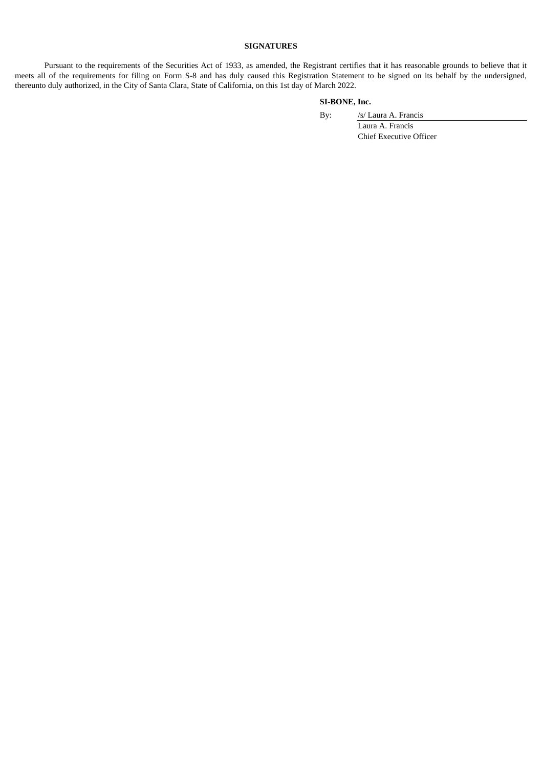## **SIGNATURES**

Pursuant to the requirements of the Securities Act of 1933, as amended, the Registrant certifies that it has reasonable grounds to believe that it meets all of the requirements for filing on Form S-8 and has duly caused this Registration Statement to be signed on its behalf by the undersigned, thereunto duly authorized, in the City of Santa Clara, State of California, on this 1st day of March 2022.

### **SI-BONE, Inc.**

By: /s/ Laura A. Francis

Laura A. Francis Chief Executive Officer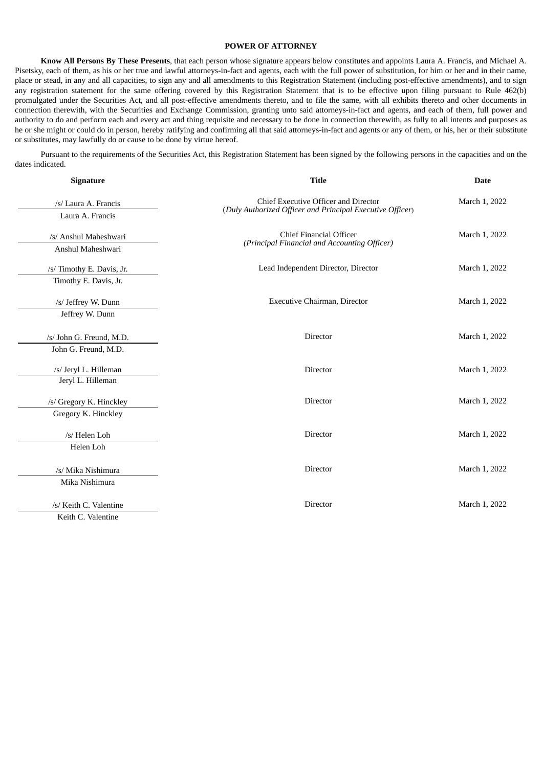#### **POWER OF ATTORNEY**

**Know All Persons By These Presents**, that each person whose signature appears below constitutes and appoints Laura A. Francis, and Michael A. Pisetsky, each of them, as his or her true and lawful attorneys-in-fact and agents, each with the full power of substitution, for him or her and in their name, place or stead, in any and all capacities, to sign any and all amendments to this Registration Statement (including post-effective amendments), and to sign any registration statement for the same offering covered by this Registration Statement that is to be effective upon filing pursuant to Rule 462(b) promulgated under the Securities Act, and all post-effective amendments thereto, and to file the same, with all exhibits thereto and other documents in connection therewith, with the Securities and Exchange Commission, granting unto said attorneys-in-fact and agents, and each of them, full power and authority to do and perform each and every act and thing requisite and necessary to be done in connection therewith, as fully to all intents and purposes as he or she might or could do in person, hereby ratifying and confirming all that said attorneys-in-fact and agents or any of them, or his, her or their substitute or substitutes, may lawfully do or cause to be done by virtue hereof.

Pursuant to the requirements of the Securities Act, this Registration Statement has been signed by the following persons in the capacities and on the dates indicated.

| Signature                 | <b>Title</b>                                              | <b>Date</b>   |  |
|---------------------------|-----------------------------------------------------------|---------------|--|
| /s/ Laura A. Francis      | Chief Executive Officer and Director                      | March 1, 2022 |  |
| Laura A. Francis          | (Duly Authorized Officer and Principal Executive Officer) |               |  |
| /s/ Anshul Maheshwari     | <b>Chief Financial Officer</b>                            | March 1, 2022 |  |
| Anshul Maheshwari         | (Principal Financial and Accounting Officer)              |               |  |
| /s/ Timothy E. Davis, Jr. | Lead Independent Director, Director                       | March 1, 2022 |  |
| Timothy E. Davis, Jr.     |                                                           |               |  |
| /s/ Jeffrey W. Dunn       | Executive Chairman, Director                              | March 1, 2022 |  |
| Jeffrey W. Dunn           |                                                           |               |  |
| /s/ John G. Freund, M.D.  | <b>Director</b>                                           | March 1, 2022 |  |
| John G. Freund, M.D.      |                                                           |               |  |
| /s/ Jeryl L. Hilleman     | <b>Director</b>                                           | March 1, 2022 |  |
| Jeryl L. Hilleman         |                                                           |               |  |
| /s/ Gregory K. Hinckley   | <b>Director</b>                                           | March 1, 2022 |  |
| Gregory K. Hinckley       |                                                           |               |  |
| /s/ Helen Loh             | <b>Director</b>                                           | March 1, 2022 |  |
| Helen Loh                 |                                                           |               |  |
| /s/ Mika Nishimura        | Director                                                  | March 1, 2022 |  |
| Mika Nishimura            |                                                           |               |  |
| /s/ Keith C. Valentine    | Director                                                  | March 1, 2022 |  |
| Keith C. Valentine        |                                                           |               |  |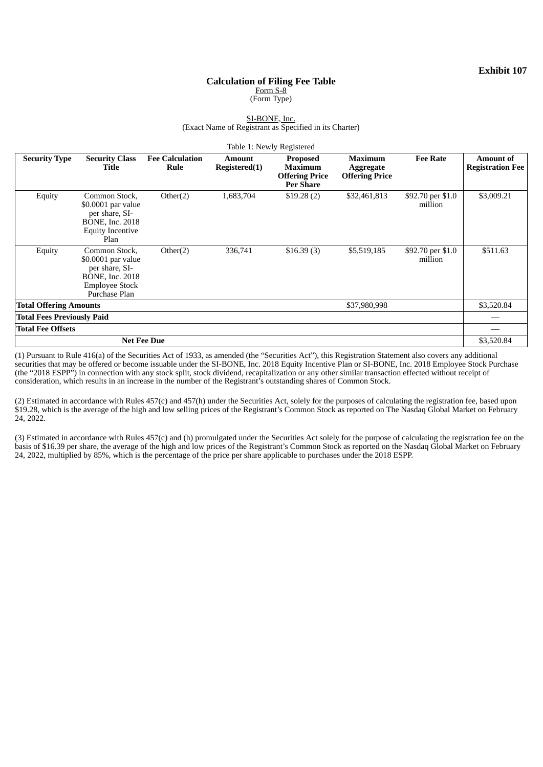### **Calculation of Filing Fee Table** Form S-8 (Form Type)

#### SI-BONE, Inc. (Exact Name of Registrant as Specified in its Charter)

<span id="page-5-0"></span>

| Table 1: Newly Registered                     |                                                                                                                            |                                |                                |                                                                                |                                                      |                              |                                             |
|-----------------------------------------------|----------------------------------------------------------------------------------------------------------------------------|--------------------------------|--------------------------------|--------------------------------------------------------------------------------|------------------------------------------------------|------------------------------|---------------------------------------------|
| <b>Security Type</b>                          | <b>Security Class</b><br>Title                                                                                             | <b>Fee Calculation</b><br>Rule | <b>Amount</b><br>Registered(1) | <b>Proposed</b><br><b>Maximum</b><br><b>Offering Price</b><br><b>Per Share</b> | <b>Maximum</b><br>Aggregate<br><b>Offering Price</b> | <b>Fee Rate</b>              | <b>Amount of</b><br><b>Registration Fee</b> |
| Equity                                        | Common Stock,<br>\$0.0001 par value<br>per share, SI-<br><b>BONE</b> , Inc. 2018<br><b>Equity Incentive</b><br>Plan        | Other(2)                       | 1,683,704                      | \$19.28(2)                                                                     | \$32,461,813                                         | \$92.70 per \$1.0<br>million | \$3,009.21                                  |
| Equity                                        | Common Stock,<br>\$0.0001 par value<br>per share, SI-<br><b>BONE</b> , Inc. 2018<br><b>Employee Stock</b><br>Purchase Plan | Other(2)                       | 336,741                        | \$16.39(3)                                                                     | \$5,519,185                                          | \$92.70 per \$1.0<br>million | \$511.63                                    |
| <b>Total Offering Amounts</b><br>\$37,980,998 |                                                                                                                            |                                |                                |                                                                                | \$3,520.84                                           |                              |                                             |
| <b>Total Fees Previously Paid</b>             |                                                                                                                            |                                |                                |                                                                                |                                                      |                              |                                             |
| <b>Total Fee Offsets</b>                      |                                                                                                                            |                                |                                |                                                                                |                                                      |                              |                                             |
| <b>Net Fee Due</b>                            |                                                                                                                            |                                |                                |                                                                                |                                                      | \$3,520.84                   |                                             |

(1) Pursuant to Rule 416(a) of the Securities Act of 1933, as amended (the "Securities Act"), this Registration Statement also covers any additional securities that may be offered or become issuable under the SI-BONE, Inc. 2018 Equity Incentive Plan or SI-BONE, Inc. 2018 Employee Stock Purchase (the "2018 ESPP") in connection with any stock split, stock dividend, recapitalization or any other similar transaction effected without receipt of consideration, which results in an increase in the number of the Registrant's outstanding shares of Common Stock.

(2) Estimated in accordance with Rules 457(c) and 457(h) under the Securities Act, solely for the purposes of calculating the registration fee, based upon \$19.28, which is the average of the high and low selling prices of the Registrant's Common Stock as reported on The Nasdaq Global Market on February 24, 2022.

(3) Estimated in accordance with Rules 457(c) and (h) promulgated under the Securities Act solely for the purpose of calculating the registration fee on the basis of \$16.39 per share, the average of the high and low prices of the Registrant's Common Stock as reported on the Nasdaq Global Market on February 24, 2022, multiplied by 85%, which is the percentage of the price per share applicable to purchases under the 2018 ESPP.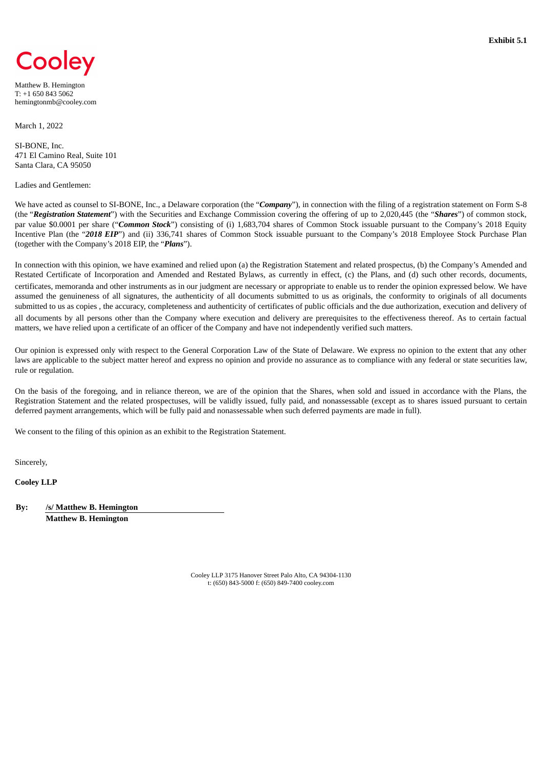<span id="page-6-0"></span>

Matthew B. Hemington T: +1 650 843 5062 hemingtonmb@cooley.com

March 1, 2022

SI-BONE, Inc. 471 El Camino Real, Suite 101 Santa Clara, CA 95050

Ladies and Gentlemen:

We have acted as counsel to SI-BONE, Inc., a Delaware corporation (the "*Company*"), in connection with the filing of a registration statement on Form S-8 (the "*Registration Statement*") with the Securities and Exchange Commission covering the offering of up to 2,020,445 (the "*Shares*") of common stock, par value \$0.0001 per share ("*Common Stock*") consisting of (i) 1,683,704 shares of Common Stock issuable pursuant to the Company's 2018 Equity Incentive Plan (the "*2018 EIP*") and (ii) 336,741 shares of Common Stock issuable pursuant to the Company's 2018 Employee Stock Purchase Plan (together with the Company's 2018 EIP, the "*Plans*").

In connection with this opinion, we have examined and relied upon (a) the Registration Statement and related prospectus, (b) the Company's Amended and Restated Certificate of Incorporation and Amended and Restated Bylaws, as currently in effect, (c) the Plans, and (d) such other records, documents, certificates, memoranda and other instruments as in our judgment are necessary or appropriate to enable us to render the opinion expressed below. We have assumed the genuineness of all signatures, the authenticity of all documents submitted to us as originals, the conformity to originals of all documents submitted to us as copies , the accuracy, completeness and authenticity of certificates of public officials and the due authorization, execution and delivery of all documents by all persons other than the Company where execution and delivery are prerequisites to the effectiveness thereof. As to certain factual matters, we have relied upon a certificate of an officer of the Company and have not independently verified such matters.

Our opinion is expressed only with respect to the General Corporation Law of the State of Delaware. We express no opinion to the extent that any other laws are applicable to the subject matter hereof and express no opinion and provide no assurance as to compliance with any federal or state securities law, rule or regulation.

On the basis of the foregoing, and in reliance thereon, we are of the opinion that the Shares, when sold and issued in accordance with the Plans, the Registration Statement and the related prospectuses, will be validly issued, fully paid, and nonassessable (except as to shares issued pursuant to certain deferred payment arrangements, which will be fully paid and nonassessable when such deferred payments are made in full).

We consent to the filing of this opinion as an exhibit to the Registration Statement.

Sincerely,

**Cooley LLP**

**By: /s/ Matthew B. Hemington**

**Matthew B. Hemington**

Cooley LLP 3175 Hanover Street Palo Alto, CA 94304-1130 t: (650) 843-5000 f: (650) 849-7400 cooley.com